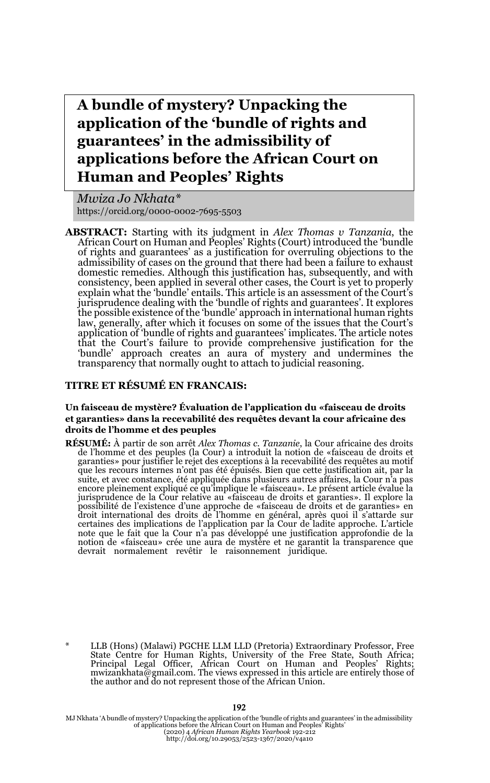# **A bundle of mystery? Unpacking the application of the 'bundle of rights and guarantees' in the admissibility of applications before the African Court on Human and Peoples' Rights**

*Mwiza Jo Nkhata\** https://orcid.org/0000-0002-7695-5503

**ABSTRACT:** Starting with its judgment in *Alex Thomas v Tanzania*, the African Court on Human and Peoples' Rights (Court) introduced the 'bundle of rights and guarantees' as a justification for overruling objections to the admissibility of cases on the ground that there had been a failure to exhaust domestic remedies. Although this justification has, subsequently, and with consistency, been applied in several other cases, the Court is yet to properly explain what the 'bundle' entails. This article is an assessment of the Court's jurisprudence dealing with the 'bundle of rights and guarantees'. It explores the possible existence of the 'bundle' approach in international human rights law, generally, after which it focuses on some of the issues that the Court's application of 'bundle of rights and guarantees' implicates. The article notes that the Court's failure to provide comprehensive justification for the 'bundle' approach creates an aura of mystery and undermines the transparency that normally ought to attach to judicial reasoning.

#### **TITRE ET RÉSUMÉ EN FRANCAIS:**

#### **Un faisceau de mystère? Évaluation de l'application du «faisceau de droits et garanties» dans la recevabilité des requêtes devant la cour africaine des droits de l'homme et des peuples**

**RÉSUMÉ:** À partir de son arrêt *Alex Thomas c. Tanzanie*, la Cour africaine des droits de l'homme et des peuples (la Cour) a introduit la notion de «faisceau de droits et garanties» pour justifier le rejet des exceptions que les recours internes n'ont pas été épuisés. Bien que cette justification ait, par la suite, et avec constance, été appliquée dans plusieurs autres affaires, la Cour n'a pas encore pleinement expliqué ce qu'implique le «faisceau». Le présent article évalue la jurisprudence de la Cour relative au «faisceau de droits et garanties». Il explore la<br>possibilité de l'existence d'une approche de «faisceau de droits et de garanties» en<br>droit international des droits de l'homme en généra certaines des implications de l'application par la Cour de ladite approche. L'article note que le fait que la Cour n'a pas développé une justification approfondie de la notion de «faisceau» crée une aura de mystère et ne garantit la transparence que devrait normalement revêtir le raisonnement juridique.

LLB (Hons) (Malawi) PGCHE LLM LLD (Pretoria) Extraordinary Professor, Free State Centre for Human Rights, University of the Free State, South Africa; Principal Legal Officer, African Court on Human and Peoples' Rights; mwizankhata@gmail.com. The views expressed in this article are entirely those of the author and do not represent those of the African Union.

MJ Nkhata 'A bundle of mystery? Unpacking the application of the 'bundle of rights and guarantees' in the admissibility<br>of applications before the African Court on Human and Peoples' Rights'<br>(2020) 4 African Tłuman Rights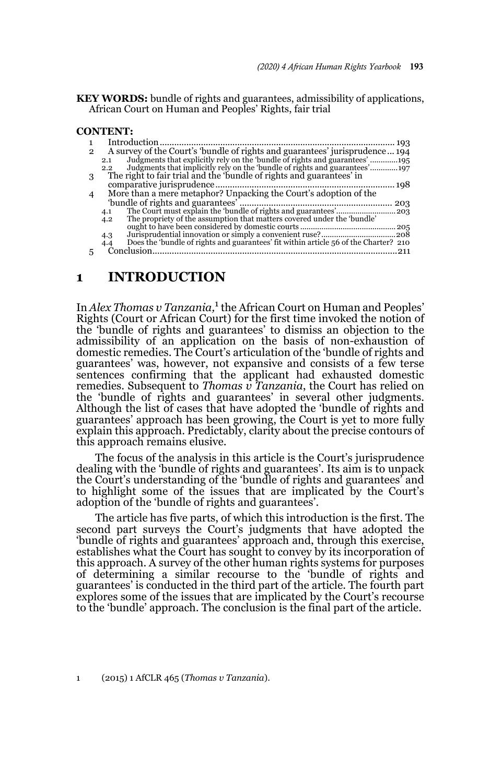#### **KEY WORDS:** bundle of rights and guarantees, admissibility of applications, African Court on Human and Peoples' Rights, fair trial

#### **CONTENT:**

| 2 | A survey of the Court's 'bundle of rights and guarantees' jurisprudence 194                                                                                       |
|---|-------------------------------------------------------------------------------------------------------------------------------------------------------------------|
|   | Judgments that explicitly rely on the 'bundle of rights and guarantees' 195<br>Judgments that implicitly rely on the 'bundle of rights and guarantees' 197<br>2.1 |
|   | $2.2^{\circ}$                                                                                                                                                     |
| 3 | The right to fair trial and the 'bundle of rights and guarantees' in                                                                                              |
|   |                                                                                                                                                                   |
|   | More than a mere metaphor? Unpacking the Court's adoption of the                                                                                                  |
|   | 203                                                                                                                                                               |
|   | 4.1                                                                                                                                                               |
|   | The propriety of the assumption that matters covered under the 'bundle'<br>4.2                                                                                    |
|   |                                                                                                                                                                   |
|   | 4.3                                                                                                                                                               |
|   | Does the 'bundle of rights and guarantees' fit within article 56 of the Charter? 210<br>4.4                                                                       |
|   | Conclusion                                                                                                                                                        |
|   |                                                                                                                                                                   |

### **1 INTRODUCTION**

In *Alex Thomas v Tanzania*,<sup>1</sup> the African Court on Human and Peoples' Rights (Court or African Court) for the first time invoked the notion of the 'bundle of rights and guarantees' to dismiss an objection to the admissibility of an application on the basis of non-exhaustion of domestic remedies. The Court's articulation of the 'bundle of rights and guarantees' was, however, not expansive and consists of a few terse sentences confirming that the applicant had exhausted domestic remedies. Subsequent to *Thomas v Tanzania*, the Court has relied on the 'bundle of rights and guarantees' in several other judgments. Although the list of cases that have adopted the 'bundle of rights and guarantees' approach has been growing, the Court is yet to more fully explain this approach. Predictably, clarity about the precise contours of this approach remains elusive.

The focus of the analysis in this article is the Court's jurisprudence dealing with the 'bundle of rights and guarantees'. Its aim is to unpack the Court's understanding of the 'bundle of rights and guarantees' and to highlight some of the issues that are implicated by the Court's adoption of the 'bundle of rights and guarantees'.

The article has five parts, of which this introduction is the first. The second part surveys the Court's judgments that have adopted the 'bundle of rights and guarantees' approach and, through this exercise, establishes what the Court has sought to convey by its incorporation of this approach. A survey of the other human rights systems for purposes of determining a similar recourse to the 'bundle of rights and guarantees' is conducted in the third part of the article. The fourth part explores some of the issues that are implicated by the Court's recourse to the 'bundle' approach. The conclusion is the final part of the article.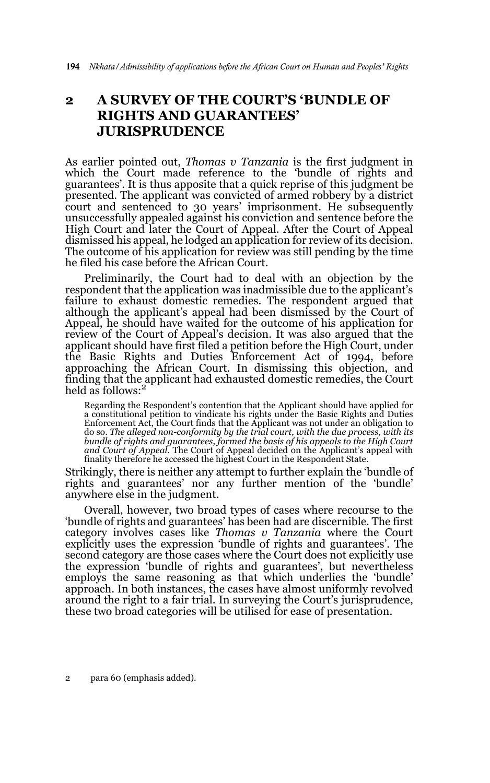# **2 A SURVEY OF THE COURT'S 'BUNDLE OF RIGHTS AND GUARANTEES' JURISPRUDENCE**

As earlier pointed out, *Thomas v Tanzania* is the first judgment in which the Court made reference to the 'bundle of rights and guarantees'. It is thus apposite that a quick reprise of this judgment be presented. The applicant was convicted of armed robbery by a district court and sentenced to 30 years' imprisonment. He subsequently unsuccessfully appealed against his conviction and sentence before the High Court and later the Court of Appeal. After the Court of Appeal dismissed his appeal, he lodged an application for review of its decision. The outcome of his application for review was still pending by the time he filed his case before the African Court.

Preliminarily, the Court had to deal with an objection by the respondent that the application was inadmissible due to the applicant's failure to exhaust domestic remedies. The respondent argued that although the applicant's appeal had been dismissed by the Court of Appeal, he should have waited for the outcome of his application for review of the Court of Appeal's decision. It was also argued that the applicant should have first filed a petition before the High Court, under the Basic Rights and Duties Enforcement Act of 1994, before approaching the African Court. In dismissing this objection, and finding that the applicant had exhausted domestic remedies, the Court held as follows:<sup>2</sup>

Regarding the Respondent's contention that the Applicant should have applied for a constitutional petition to vindicate his rights under the Basic Rights and Duties Enforcement Act, the Court finds that the Applicant was not under an obligation to do so. *The alleged non-conformity by the trial court, with the due process, with its bundle of rights and guarantees, formed the basis of his appeals to the High Court and Court of Appeal.* The Court of Appeal decided on the Applicant's appeal with<br>finality therefore he accessed the highest Court in the Respondent State.

Strikingly, there is neither any attempt to further explain the 'bundle of rights and guarantees' nor any further mention of the 'bundle' anywhere else in the judgment.

Overall, however, two broad types of cases where recourse to the 'bundle of rights and guarantees' has been had are discernible. The first category involves cases like *Thomas v Tanzania* where the Court explicitly uses the expression 'bundle of rights and guarantees'. The second category are those cases where the Court does not explicitly use the expression 'bundle of rights and guarantees', but nevertheless employs the same reasoning as that which underlies the 'bundle' approach. In both instances, the cases have almost uniformly revolved around the right to a fair trial. In surveying the Court's jurisprudence, these two broad categories will be utilised for ease of presentation.

2 para 60 (emphasis added).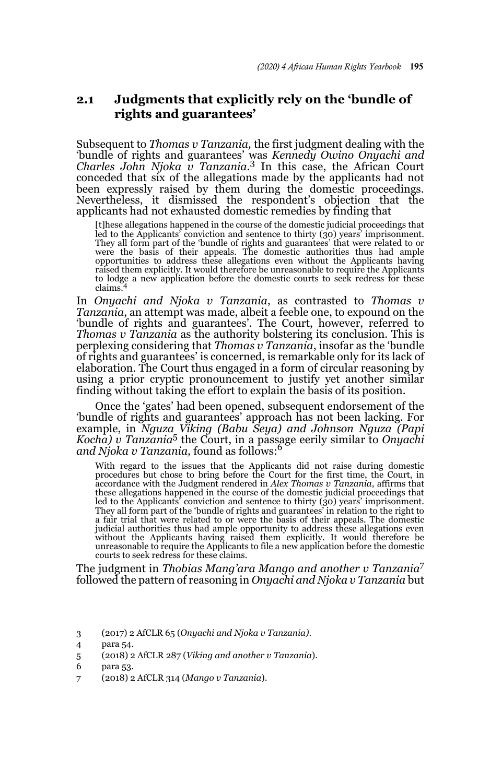### **2.1 Judgments that explicitly rely on the 'bundle of rights and guarantees'**

Subsequent to *Thomas v Tanzania,* the first judgment dealing with the 'bundle of rights and guarantees' was *Kennedy Owino Onyachi and Charles John Njoka v Tanzania*. 3 In this case, the African Court conceded that six of the allegations made by the applicants had not been expressly raised by them during the domestic proceedings. Nevertheless, it dismissed the respondent's objection that the applicants had not exhausted domestic remedies by finding that

[t]hese allegations happened in the course of the domestic judicial proceedings that led to the Applicants' conviction and sentence to thirty (30) years' imprisonment.<br>They all form part of the 'bundle of rights and guarantees' that were related to or<br>were the basis of their appeals. The domestic authoriti opportunities to address these allegations even without the Applicants having raised them explicitly. It would therefore be unreasonable to require the Applicants to lodge a new application before the domestic courts to seek redress for these claims.

In *Onyachi and Njoka v Tanzania*, as contrasted to *Thomas v Tanzania*, an attempt was made, albeit a feeble one, to expound on the 'bundle of rights and guarantees'. The Court, however, referred to *Thomas v Tanzania* as the authority bolstering its conclusion. This is perplexing considering that *Thomas v Tanzania*, insofar as the 'bundle of rights and guarantees' is concerned, is remarkable only for its lack of elaboration. The Court thus engaged in a form of circular reasoning by using a prior cryptic pronouncement to justify yet another similar finding without taking the effort to explain the basis of its position.

Once the 'gates' had been opened, subsequent endorsement of the 'bundle of rights and guarantees' approach has not been lacking. For example, in *Nguza Viking (Babu Seya) and Johnson Nguza (Papi Kocha) v Tanzania*5 the Court, in a passage eerily similar to *Onyachi and Njoka v Tanzania,* found as follows:<sup>6</sup>

With regard to the issues that the Applicants did not raise during domestic procedures but chose to bring before the Court for the first time, the Court, in accordance with the Judgment rendered in *Alex Thomas v Tanzania*, affirms that these allegations happened in the course of the domestic judicial proceedings that led to the Applicants' conviction and sentence to thirty (30) years' imprisonment. They all form part of the 'bundle of rights and guarantees' in relation to the right to<br>a fair trial that were related to or were the basis of their appeals. The domestic<br>judicial authorities thus had ample opportunity to without the Applicants having raised them explicitly. It would therefore be unreasonable to require the Applicants to file a new application before the domestic courts to seek redress for these claims.

The judgment in *Thobias Mang'ara Mango and another v Tanzania*<sup>7</sup> followed the pattern of reasoning in *Onyachi and Njoka v Tanzania* but

7 (2018) 2 AfCLR 314 (*Mango v Tanzania*).

<sup>3 (2017) 2</sup> AfCLR 65 (*Onyachi and Njoka v Tanzania)*.

<sup>4</sup> para 54.

<sup>5 (2018) 2</sup> AfCLR 287 (*Viking and another v Tanzania*).

<sup>6</sup> para 53.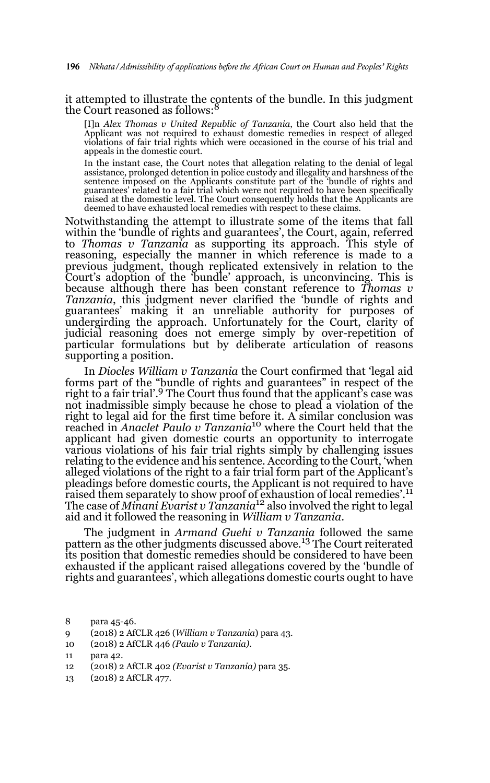it attempted to illustrate the contents of the bundle. In this judgment the Court reasoned as follows:

[I]n *Alex Thomas v United Republic of Tanzania*, the Court also held that the Applicant was not required to exhaust domestic remedies in respect of alleged violations of fair trial rights which were occasioned in the course of his trial and appeals in the domestic court.

In the instant case, the Court notes that allegation relating to the denial of legal assistance, prolonged detention in police custody and illegality and harshness of the sentence imposed on the Applicants constitute part of the 'bundle of rights and guarantees' related to a fair trial which were not required to have been specifically raised at the domestic level. The Court consequently holds that the Applicants are deemed to have exhausted local remedies with respect to these claims.

Notwithstanding the attempt to illustrate some of the items that fall within the 'bundle of rights and guarantees', the Court, again, referred to *Thomas v Tanzania* as supporting its approach. This style of reasoning, especially the manner in which reference is made to a previous judgment, though replicated extensively in relation to the Court's adoption of the 'bundle' approach, is unconvincing. This is because although there has been constant reference to *Thomas v Tanzania*, this judgment never clarified the 'bundle of rights and guarantees' making it an unreliable authority for purposes of undergirding the approach. Unfortunately for the Court, clarity of judicial reasoning does not emerge simply by over-repetition of particular formulations but by deliberate articulation of reasons supporting a position.

In *Diocles William v Tanzania* the Court confirmed that 'legal aid forms part of the "bundle of rights and guarantees" in respect of the right to a fair trial'.<sup>9</sup> The Court thus found that the applicant's case was not inadmissible simply because he chose to plead a violation of the right to legal aid for the first time before it. A similar conclusion was reached in *Anaclet Paulo v Tanzania*10 where the Court held that the applicant had given domestic courts an opportunity to interrogate various violations of his fair trial rights simply by challenging issues relating to the evidence and his sentence. According to the Court, 'when alleged violations of the right to a fair trial form part of the Applicant's pleadings before domestic courts, the Applicant is not required to have raised them separately to show proof of exhaustion of local remedies'.<sup>11</sup> The case of *Minani Evarist v Tanzania*12 also involved the right to legal aid and it followed the reasoning in *William v Tanzania*.

The judgment in *Armand Guehi v Tanzania* followed the same pattern as the other judgments discussed above.<sup>13</sup> The Court reiterated its position that domestic remedies should be considered to have been exhausted if the applicant raised allegations covered by the 'bundle of rights and guarantees', which allegations domestic courts ought to have

- 9 (2018) 2 AfCLR 426 (*William v Tanzania*) para 43.
- 10 (2018) 2 AfCLR 446 *(Paulo v Tanzania)*.

- 12 (2018) 2 AfCLR 402 *(Evarist v Tanzania)* para 35.
- 13 (2018) 2 AfCLR 477.

<sup>8</sup> para 45-46.

<sup>11</sup> para 42.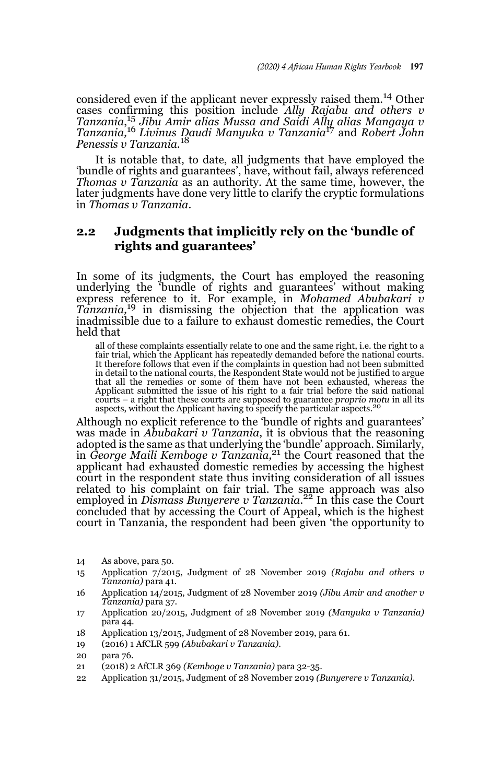considered even if the applicant never expressly raised them.14 Other cases confirming this position include *Ally Rajabu and others v Tanzania*, <sup>15</sup> *Jibu Amir alias Mussa and Saidi Ally alias Mangaya v Tanzania,*16 *Livinus Daudi Manyuka v Tanzania*<sup>17</sup> and *Robert John Penessis v Tanzania.*<sup>18</sup>

It is notable that, to date, all judgments that have employed the 'bundle of rights and guarantees', have, without fail, always referenced *Thomas v Tanzania* as an authority. At the same time, however, the later judgments have done very little to clarify the cryptic formulations in *Thomas v Tanzania*.

### **2.2 Judgments that implicitly rely on the 'bundle of rights and guarantees'**

In some of its judgments, the Court has employed the reasoning underlying the 'bundle of rights and guarantees' without making express reference to it. For example, in *Mohamed Abubakari v Tanzania,*19 in dismissing the objection that the application was inadmissible due to a failure to exhaust domestic remedies, the Court held that

all of these complaints essentially relate to one and the same right, i.e. the right to a fair trial, which the Applicant has repeatedly demanded before the national courts. It therefore follows that even if the complaints in question had not been submitted in detail to the national courts, the Respondent State would not be justified to argue that all the remedies or some of them have not been exhausted, whereas the Applicant submitted the issue of his right to a fair trial before the said national courts – a right that these courts are supposed to guarantee *proprio motu* in all its<br>aspects, without the Applicant having to specify the particular aspects.<sup>20</sup>

Although no explicit reference to the 'bundle of rights and guarantees' was made in *Abubakari v Tanzania*, it is obvious that the reasoning adopted is the same as that underlying the 'bundle' approach. Similarly, in *George Maili Kemboge v Tanzania,*21 the Court reasoned that the applicant had exhausted domestic remedies by accessing the highest court in the respondent state thus inviting consideration of all issues related to his complaint on fair trial. The same approach was also employed in *Dismass Bunyerere v Tanzania*. 22 In this case the Court concluded that by accessing the Court of Appeal, which is the highest court in Tanzania, the respondent had been given 'the opportunity to

<sup>14</sup> As above, para 50.

<sup>15</sup> Application 7/2015, Judgment of 28 November 2019 *(Rajabu and others v Tanzania)* para 41.

<sup>16</sup> Application 14/2015, Judgment of 28 November 2019 *(Jibu Amir and another v Tanzania)* para 37.

<sup>17</sup> Application 20/2015, Judgment of 28 November 2019 *(Manyuka v Tanzania)* para 44.

<sup>18</sup> Application 13/2015, Judgment of 28 November 2019, para 61.

<sup>19 (2016) 1</sup> AfCLR 599 *(Abubakari v Tanzania)*.

<sup>20</sup> para 76.

<sup>21 (2018) 2</sup> AfCLR 369 *(Kemboge v Tanzania)* para 32-35.

<sup>22</sup> Application 31/2015, Judgment of 28 November 2019 *(Bunyerere v Tanzania).*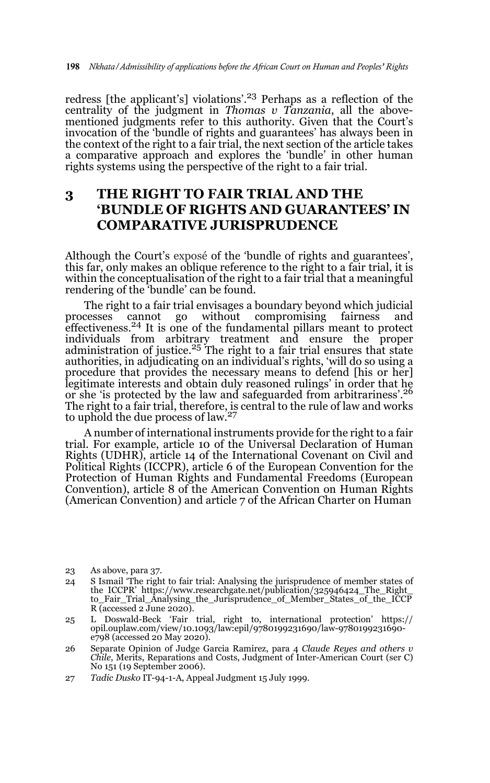redress [the applicant's] violations'.<sup>23</sup> Perhaps as a reflection of the centrality of the judgment in *Thomas v Tanzania*, all the abovementioned judgments refer to this authority. Given that the Court's invocation of the 'bundle of rights and guarantees' has always been in the context of the right to a fair trial, the next section of the article takes a comparative approach and explores the 'bundle' in other human rights systems using the perspective of the right to a fair trial.

# **3 THE RIGHT TO FAIR TRIAL AND THE 'BUNDLE OF RIGHTS AND GUARANTEES' IN COMPARATIVE JURISPRUDENCE**

Although the Court's exposé of the 'bundle of rights and guarantees', this far, only makes an oblique reference to the right to a fair trial, it is within the conceptualisation of the right to a fair trial that a meaningful rendering of the 'bundle' can be found.

The right to a fair trial envisages a boundary beyond which judicial processes cannot go without compromising fairness and effectiveness.24 It is one of the fundamental pillars meant to protect individuals from arbitrary treatment and ensure the proper<br>administration of justice.<sup>25</sup> The right to a fair trial ensures that state authorities, in adjudicating on an individual's rights, 'will do so using a procedure that provides the necessary means to defend [his or her] legitimate interests and obtain duly reasoned rulings' in order that he or she 'is protected by the law and safeguarded from arbitrariness'.26 The right to a fair trial, therefore, is central to the rule of law and works<br>to uphold the due process of law.<sup>27</sup>

A number of international instruments provide for the right to a fair trial. For example, article 10 of the Universal Declaration of Human Rights (UDHR), article 14 of the International Covenant on Civil and Political Rights (ICCPR), article 6 of the European Convention for the Protection of Human Rights and Fundamental Freedoms (European Convention), article 8 of the American Convention on Human Rights (American Convention) and article 7 of the African Charter on Human

27 *Tadic Dusko* IT-94-1-A, Appeal Judgment 15 July 1999.

<sup>23</sup> As above, para 37.

<sup>24</sup> S Ismail 'The right to fair trial: Analysing the jurisprudence of member states of the ICCPR' https://www.researchgate.net/publication/325946424\_The\_Right\_ to\_Fair\_Trial\_Analysing\_the\_Jurisprudence\_of\_Member\_States\_of\_the\_ICCP  $R$  (accessed 2 June 2020).

<sup>25</sup> L Doswald-Beck 'Fair trial, right to, international protection' https:// opil.ouplaw.com/view/10.1093/law:epil/9780199231690/law-9780199231690 e798 (accessed 20 May 2020).

<sup>26</sup> Separate Opinion of Judge Garcia Ramirez, para 4 *Claude Reyes and others v Chile*, Merits, Reparations and Costs, Judgment of Inter-American Court (ser C) No 151 (19 September 2006).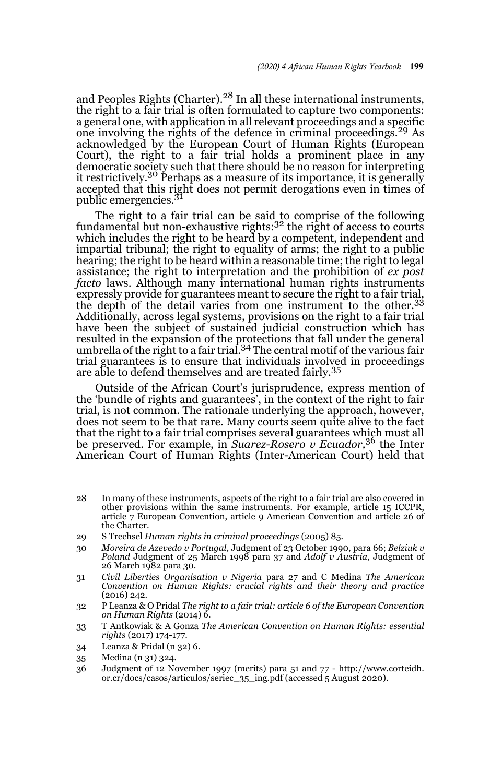and Peoples Rights (Charter).<sup>28</sup> In all these international instruments, the right to a fair trial is often formulated to capture two components: a general one, with application in all relevant proceedings and a specific one involving the rights of the defence in criminal proceedings.<sup>29</sup> As acknowledged by the European Court of Human Rights (European Court), the right to a fair trial holds a prominent place in any democratic society such that there should be no reason for interpreting it restrictively.<sup>30</sup> Perhaps as a measure of its importance, it is generally accepted that this right does not permit derogations even in times of public emergencies.<sup>31</sup>

The right to a fair trial can be said to comprise of the following fundamental but non-exhaustive rights: $3<sup>2</sup>$  the right of access to courts which includes the right to be heard by a competent, independent and impartial tribunal; the right to equality of arms; the right to a public hearing; the right to be heard within a reasonable time; the right to legal assistance; the right to interpretation and the prohibition of *ex post facto* laws. Although many international human rights instruments expressly provide for guarantees meant to secure the right to a fair trial, the depth of the detail varies from one instrument to the other.<sup>33</sup> Additionally, across legal systems, provisions on the right to a fair trial have been the subject of sustained judicial construction which has resulted in the expansion of the protections that fall under the general<br>umbrella of the right to a fair trial.<sup>34</sup> The central motif of the various fair trial guarantees is to ensure that individuals involved in proceedings are able to defend themselves and are treated fairly.<sup>35</sup>

Outside of the African Court's jurisprudence, express mention of the 'bundle of rights and guarantees', in the context of the right to fair trial, is not common. The rationale underlying the approach, however, does not seem to be that rare. Many courts seem quite alive to the fact that the right to a fair trial comprises several guarantees which must all be preserved. For example, in *Suarez-Rosero v Ecuador,*36 the Inter American Court of Human Rights (Inter-American Court) held that

- 28 In many of these instruments, aspects of the right to a fair trial are also covered in other provisions within the same instruments. For example, article 15 ICCPR, article 7 European Convention, article 9 American Convention and article 26 of the Charter.
- 29 S Trechsel *Human rights in criminal proceedings* (2005) 85.
- 30 *Moreira de Azevedo v Portugal*, Judgment of 23 October 1990, para 66; *Belziuk v Poland* Judgment of 25 March 1998 para 37 and *Adolf v Austria,* Judgment of 26 March 1982 para 30.
- 31 *Civil Liberties Organisation v Nigeria* para 27 and C Medina *The American Convention on Human Rights: crucial rights and their theory and practice* (2016) 242.
- 32 P Leanza & O Pridal *The right to a fair trial: article 6 of the European Convention on Human Rights* (2014) 6.
- 33 T Antkowiak & A Gonza *The American Convention on Human Rights: essential rights* (2017) 174-177.
- 34 Leanza & Pridal (n 32) 6.
- 35 Medina (n 31) 324.
- 36 Judgment of 12 November 1997 (merits) para 51 and 77 http://www.corteidh. or.cr/docs/casos/articulos/seriec\_35\_ing.pdf (accessed 5 August 2020).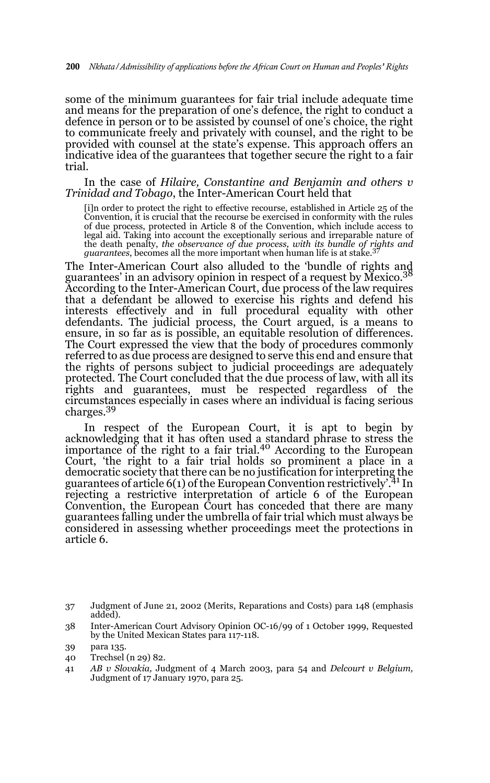some of the minimum guarantees for fair trial include adequate time and means for the preparation of one's defence, the right to conduct a defence in person or to be assisted by counsel of one's choice, the right to communicate freely and privately with counsel, and the right to be provided with counsel at the state's expense. This approach offers an indicative idea of the guarantees that together secure the right to a fair trial.

In the case of *Hilaire, Constantine and Benjamin and others v Trinidad and Tobago*, the Inter-American Court held that

[i]n order to protect the right to effective recourse, established in Article 25 of the Convention, it is crucial that the recourse be exercised in conformity with the rules of due process, protected in Article 8 of the Convention, which include access to legal aid. Taking into account the exceptionally serious and irreparable nature of the death penalty, *the observance of due process, with its bundle of rights and guarantees*, becomes all the more important when human life is at stake.<sup>37</sup>

The Inter-American Court also alluded to the 'bundle of rights and guarantees' in an advisory opinion in respect of a request by Mexico.<sup>38</sup> According to the Inter-American Court, due process of the law requires that a defendant be allowed to exercise his rights and defend his interests effectively and in full procedural equality with other defendants. The judicial process, the Court argued, is a means to ensure, in so far as is possible, an equitable resolution of differences. The Court expressed the view that the body of procedures commonly referred to as due process are designed to serve this end and ensure that the rights of persons subject to judicial proceedings are adequately protected. The Court concluded that the due process of law, with all its rights and guarantees, must be respected regardless of the circumstances especially in cases where an individual is facing serious charges.<sup>39</sup>

In respect of the European Court, it is apt to begin by acknowledging that it has often used a standard phrase to stress the importance of the right to a fair trial.<sup>40</sup> According to the European Court, 'the right to a fair trial holds so prominent a place in a democratic society that there can be no justification for interpreting the guarantees of article  $6(1)$  of the European Convention restrictively.<sup>41</sup> In rejecting a restrictive interpretation of article 6 of the European Convention, the European Court has conceded that there are many guarantees falling under the umbrella of fair trial which must always be considered in assessing whether proceedings meet the protections in article 6.

<sup>37</sup> Judgment of June 21, 2002 (Merits, Reparations and Costs) para 148 (emphasis added).

<sup>38</sup> Inter-American Court Advisory Opinion OC-16/99 of 1 October 1999, Requested by the United Mexican States para 117-118.

<sup>39</sup> para 135.

<sup>40</sup> Trechsel (n 29) 82.

<sup>41</sup> *AB v Slovakia,* Judgment of 4 March 2003, para 54 and *Delcourt v Belgium,* Judgment of 17 January 1970, para 25.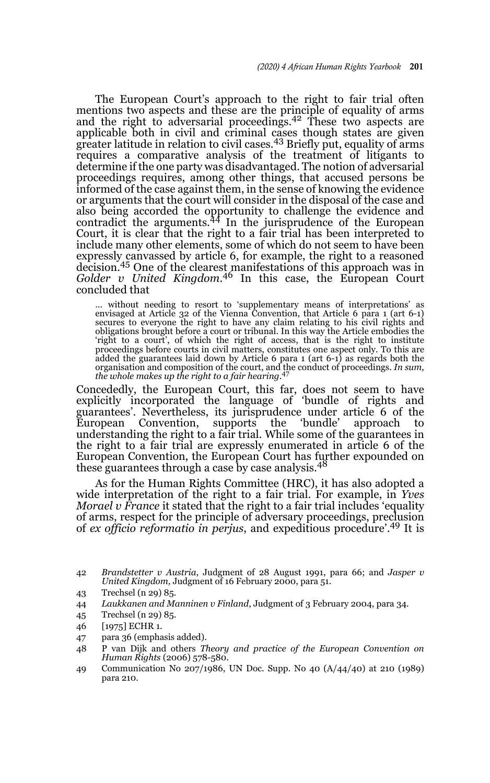The European Court's approach to the right to fair trial often mentions two aspects and these are the principle of equality of arms<br>and the right to adversarial proceedings.<sup>42</sup> These two aspects are applicable both in civil and criminal cases though states are given greater latitude in relation to civil cases.43 Briefly put, equality of arms requires a comparative analysis of the treatment of litigants to determine if the one party was disadvantaged. The notion of adversarial proceedings requires, among other things, that accused persons be informed of the case against them, in the sense of knowing the evidence or arguments that the court will consider in the disposal of the case and also being accorded the opportunity to challenge the evidence and contradict the arguments.44 In the jurisprudence of the European Court, it is clear that the right to a fair trial has been interpreted to include many other elements, some of which do not seem to have been expressly canvassed by article 6, for example, the right to a reasoned decision.<sup>45</sup> One of the clearest manifestations of this approach was in *Golder v United Kingdom*. 46 In this case, the European Court concluded that

... without needing to resort to 'supplementary means of interpretations' as envisaged at Article 32 of the Vienna Convention, that Article 6 para 1 (art 6-1) secures to everyone the right to have any claim relating to his obligations brought before a court or tribunal. In this way the Article embodies the 'right to a court', of which the right of access, that is the right to institute proceedings before courts in civil matters, constitutes one aspect only. To this are added the guarantees laid down by Article 6 para 1 (art 6-1) as regards both the organisation and composition of the court, and the conduct of proceedings. *In sum, the whole makes up the right to a fair hearing*. 47

Concededly, the European Court, this far, does not seem to have explicitly incorporated the language of 'bundle of rights and guarantees'. Nevertheless, its jurisprudence under article 6 of the European Convention, supports the 'bundle' approach to understanding the right to a fair trial. While some of the guarantees in the right to a fair trial are expressly enumerated in article 6 of the European Convention, the European Court has further expounded on these guarantees through a case by case analysis.<sup>48</sup>

As for the Human Rights Committee (HRC), it has also adopted a wide interpretation of the right to a fair trial. For example, in *Yves Morael v France* it stated that the right to a fair trial includes 'equality of arms, respect for the principle of adversary proceedings, preclusion of *ex officio reformatio in perjus*, and expeditious procedure'.49 It is

- 43 Trechsel (n 29) 85.
- 44 *Laukkanen and Manninen v Finland*, Judgment of 3 February 2004, para 34.
- 45 Trechsel (n 29) 85.
- 46 [1975] ECHR 1.
- 47 para 36 (emphasis added).
- 48 P van Dijk and others *Theory and practice of the European Convention on Human Rights* (2006) 578-580.
- 49 Communication No 207/1986, UN Doc. Supp. No 40 (A/44/40) at 210 (1989) para 210.

<sup>42</sup> *Brandstetter v Austria*, Judgment of 28 August 1991, para 66; and *Jasper v United Kingdom,* Judgment of 16 February 2000, para 51.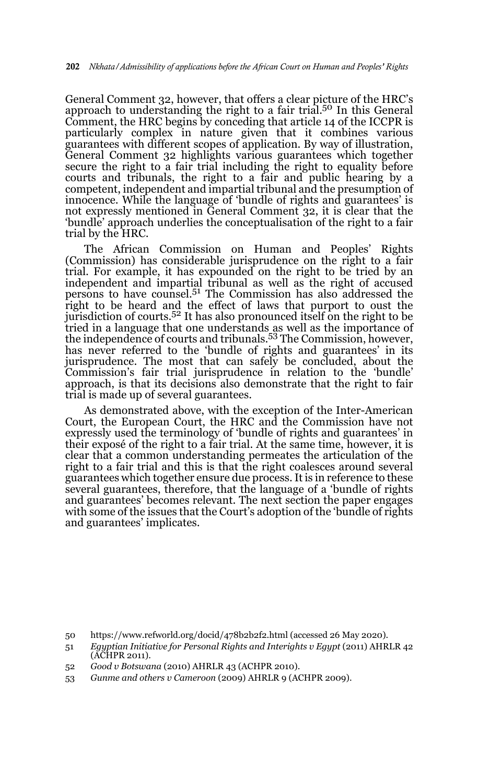General Comment 32, however, that offers a clear picture of the HRC's approach to understanding the right to a fair trial.<sup>50</sup> In this General Comment, the HRC begins by conceding that article 14 of the ICCPR is particularly complex in nature given that it combines various guarantees with different scopes of application. By way of illustration, General Comment 32 highlights various guarantees which together secure the right to a fair trial including the right to equality before courts and tribunals, the right to a fair and public hearing by a competent, independent and impartial tribunal and the presumption of innocence. While the language of 'bundle of rights and guarantees' is not expressly mentioned in General Comment 32, it is clear that the 'bundle' approach underlies the conceptualisation of the right to a fair trial by the HRC.

The African Commission on Human and Peoples' Rights (Commission) has considerable jurisprudence on the right to a fair trial. For example, it has expounded on the right to be tried by an independent and impartial tribunal as well as the right of accused persons to have counsel.51 The Commission has also addressed the right to be heard and the effect of laws that purport to oust the jurisdiction of courts.52 It has also pronounced itself on the right to be tried in a language that one understands as well as the importance of the independence of courts and tribunals.<sup>53</sup> The Commission, however, has never referred to the 'bundle of rights and guarantees' in its jurisprudence. The most that can safely be concluded, about the Commission's fair trial jurisprudence in relation to the 'bundle' approach, is that its decisions also demonstrate that the right to fair trial is made up of several guarantees.

As demonstrated above, with the exception of the Inter-American Court, the European Court, the HRC and the Commission have not expressly used the terminology of 'bundle of rights and guarantees' in their exposé of the right to a fair trial. At the same time, however, it is clear that a common understanding permeates the articulation of the right to a fair trial and this is that the right coalesces around several guarantees which together ensure due process. It is in reference to these several guarantees, therefore, that the language of a 'bundle of rights and guarantees' becomes relevant. The next section the paper engages with some of the issues that the Court's adoption of the 'bundle of rights and guarantees' implicates.

- 52 *Good v Botswana* (2010) AHRLR 43 (ACHPR 2010).
- 53 *Gunme and others v Cameroon* (2009) AHRLR 9 (ACHPR 2009).

<sup>50</sup> https://www.refworld.org/docid/478b2b2f2.html (accessed 26 May 2020).

<sup>51</sup> *Egyptian Initiative for Personal Rights and Interights v Egypt* (2011) AHRLR 42 (ACHPR 2011).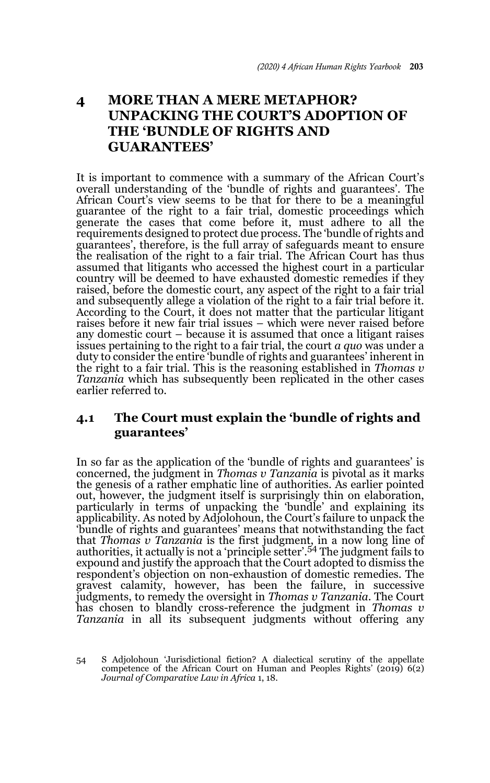# **4 MORE THAN A MERE METAPHOR? UNPACKING THE COURT'S ADOPTION OF THE 'BUNDLE OF RIGHTS AND GUARANTEES'**

It is important to commence with a summary of the African Court's overall understanding of the 'bundle of rights and guarantees'. The African Court's view seems to be that for there to be a meaningful guarantee of the right to a fair trial, domestic proceedings which generate the cases that come before it, must adhere to all the requirements designed to protect due process. The 'bundle of rights and guarantees', therefore, is the full array of safeguards meant to ensure the realisation of the right to a fair trial. The African Court has thus assumed that litigants who accessed the highest court in a particular country will be deemed to have exhausted domestic remedies if they raised, before the domestic court, any aspect of the right to a fair trial and subsequently allege a violation of the right to a fair trial before it. According to the Court, it does not matter that the particular litigant raises before it new fair trial issues – which were never raised before any domestic court – because it is assumed that once a litigant raises issues pertaining to the right to a fair trial, the court *a quo* was under a duty to consider the entire 'bundle of rights and guarantees' inherent in the right to a fair trial. This is the reasoning established in *Thomas v Tanzania* which has subsequently been replicated in the other cases earlier referred to.

### **4.1 The Court must explain the 'bundle of rights and guarantees'**

In so far as the application of the 'bundle of rights and guarantees' is concerned, the judgment in *Thomas v Tanzania* is pivotal as it marks the genesis of a rather emphatic line of authorities. As earlier pointed out, however, the judgment itself is surprisingly thin on elaboration, particularly in terms of unpacking the 'bundle' and explaining its applicability. As noted by Adjolohoun, the Court's failure to unpack the 'bundle of rights and guarantees' means that notwithstanding the fact that *Thomas v Tanzania* is the first judgment, in a now long line of authorities, it actually is not a 'principle setter'.54 The judgment fails to expound and justify the approach that the Court adopted to dismiss the respondent's objection on non-exhaustion of domestic remedies. The gravest calamity, however, has been the failure, in successive judgments, to remedy the oversight in *Thomas v Tanzania*. The Court has chosen to blandly cross-reference the judgment in *Thomas v Tanzania* in all its subsequent judgments without offering any

<sup>54</sup> S Adjolohoun 'Jurisdictional fiction? A dialectical scrutiny of the appellate competence of the African Court on Human and Peoples Rights' (2019) 6(2) *Journal of Comparative Law in Africa* 1, 18.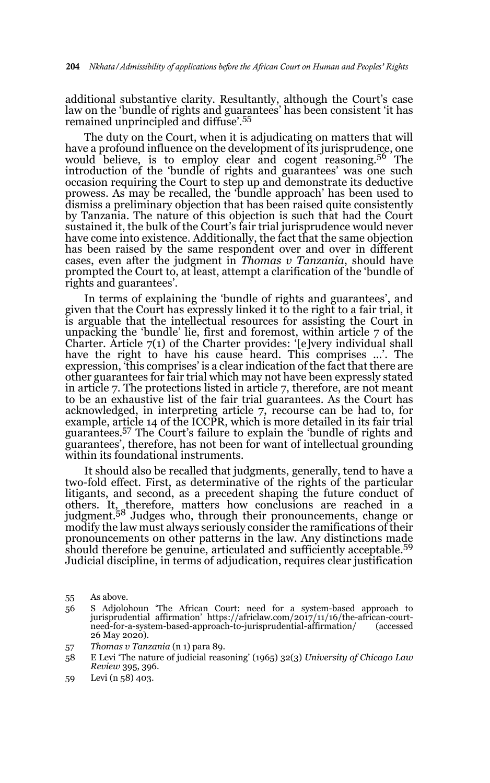additional substantive clarity. Resultantly, although the Court's case law on the 'bundle of rights and guarantees' has been consistent 'it has remained unprincipled and diffuse'.<sup>55</sup>

The duty on the Court, when it is adjudicating on matters that will have a profound influence on the development of its jurisprudence, one would believe, is to employ clear and cogent reasoning.<sup>56</sup> The introduction of the 'bundle of rights and guarantees' was one such occasion requiring the Court to step up and demonstrate its deductive prowess. As may be recalled, the 'bundle approach' has been used to dismiss a preliminary objection that has been raised quite consistently by Tanzania. The nature of this objection is such that had the Court sustained it, the bulk of the Court's fair trial jurisprudence would never have come into existence. Additionally, the fact that the same objection has been raised by the same respondent over and over in different cases, even after the judgment in *Thomas v Tanzania*, should have prompted the Court to, at least, attempt a clarification of the 'bundle of rights and guarantees'.

In terms of explaining the 'bundle of rights and guarantees', and given that the Court has expressly linked it to the right to a fair trial, it is arguable that the intellectual resources for assisting the Court in unpacking the 'bundle' lie, first and foremost, within article 7 of the Charter. Article 7(1) of the Charter provides: '[e]very individual shall have the right to have his cause heard. This comprises ...'. The expression, 'this comprises' is a clear indication of the fact that there are other guarantees for fair trial which may not have been expressly stated in article 7. The protections listed in article 7, therefore, are not meant to be an exhaustive list of the fair trial guarantees. As the Court has acknowledged, in interpreting article 7, recourse can be had to, for example, article 14 of the ICCPR, which is more detailed in its fair trial guarantees.<sup>57</sup> The Court's failure to explain the 'bundle of rights and guarantees', therefore, has not been for want of intellectual grounding within its foundational instruments.

It should also be recalled that judgments, generally, tend to have a two-fold effect. First, as determinative of the rights of the particular litigants, and second, as a precedent shaping the future conduct of others. It, therefore, matters how conclusions are reached in a judgment.58 Judges who, through their pronouncements, change or modify the law must always seriously consider the ramifications of their pronouncements on other patterns in the law. Any distinctions made should therefore be genuine, articulated and sufficiently acceptable.<sup>59</sup> Judicial discipline, in terms of adjudication, requires clear justification

57 *Thomas v Tanzania* (n 1) para 89.

<sup>55</sup> As above.

<sup>56</sup> S Adjolohoun 'The African Court: need for a system-based approach to jurisprudential affirmation' https://africlaw.com/2017/11/16/the-african-courtneed-for-a-system-based-approach-to-jurisprudential-affirmation/ (accessed 26 May 2020).

<sup>58</sup> E Levi 'The nature of judicial reasoning' (1965) 32(3) *University of Chicago Law Review* 395, 396.

<sup>59</sup> Levi (n 58) 403.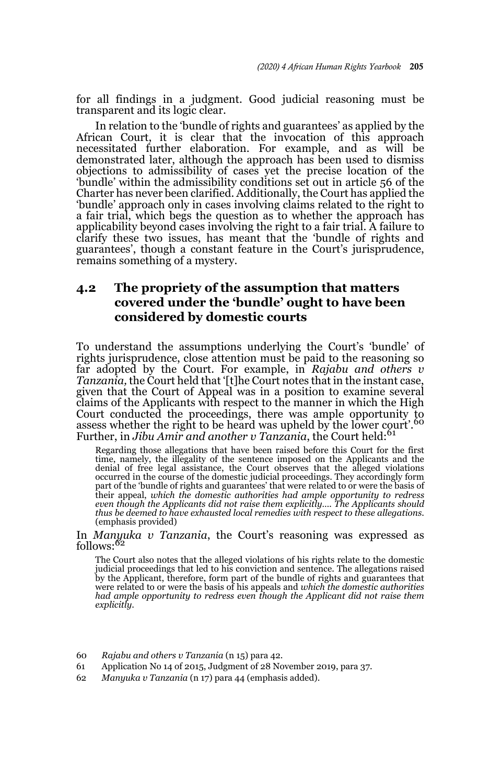for all findings in a judgment. Good judicial reasoning must be transparent and its logic clear.

In relation to the 'bundle of rights and guarantees' as applied by the African Court, it is clear that the invocation of this approach necessitated further elaboration. For example, and as will be demonstrated later, although the approach has been used to dismiss objections to admissibility of cases yet the precise location of the 'bundle' within the admissibility conditions set out in article 56 of the Charter has never been clarified. Additionally, the Court has applied the 'bundle' approach only in cases involving claims related to the right to a fair trial, which begs the question as to whether the approach has applicability beyond cases involving the right to a fair trial. A failure to clarify these two issues, has meant that the 'bundle of rights and guarantees', though a constant feature in the Court's jurisprudence, remains something of a mystery.

### **4.2 The propriety of the assumption that matters covered under the 'bundle' ought to have been considered by domestic courts**

To understand the assumptions underlying the Court's 'bundle' of rights jurisprudence, close attention must be paid to the reasoning so far adopted by the Court. For example, in *Rajabu and others v Tanzania,* the Court held that '[t]he Court notes that in the instant case, given that the Court of Appeal was in a position to examine several claims of the Applicants with respect to the manner in which the High Court conducted the proceedings, there was ample opportunity to assess whether the right to be heard was upheld by the lower court'.<sup>60</sup> Further, in *Jibu Amir and another v Tanzania*, the Court held:<sup>61</sup>

Regarding those allegations that have been raised before this Court for the first time, namely, the illegality of the sentence imposed on the Applicants and the denial of free legal assistance, the Court observes that the alleged violations occurred in the course of the domestic judicial proceedings. They accordingly form part of the 'bundle of rights and guarantees' that were related to or were the basis of their appeal, *which the domestic authorities had ample opportunity to redress even though the Applicants did not raise them explicitly…. The Applicants should thus be deemed to have exhausted local remedies with respect to these allegations*. (emphasis provided)

# In *Manyuka v Tanzania*, the Court's reasoning was expressed as follows:<sup>62</sup>

The Court also notes that the alleged violations of his rights relate to the domestic judicial proceedings that led to his conviction and sentence. The allegations raised by the Applicant, therefore, form part of the bundle of rights and guarantees that were related to or were the basis of his appeals and *which the domestic authorities had ample opportunity to redress even though the Applicant did not raise them explicitly*.

- 60 *Rajabu and others v Tanzania* (n 15) para 42.
- 61 Application No 14 of 2015, Judgment of 28 November 2019, para 37.
- 62 *Manyuka v Tanzania* (n 17) para 44 (emphasis added).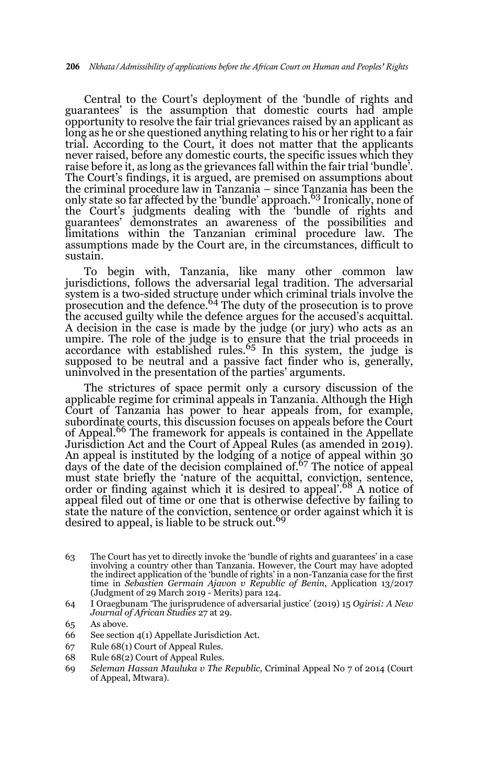Central to the Court's deployment of the 'bundle of rights and guarantees' is the assumption that domestic courts had ample opportunity to resolve the fair trial grievances raised by an applicant as long as he or she questioned anything relating to his or her right to a fair trial. According to the Court, it does not matter that the applicants never raised, before any domestic courts, the specific issues which they raise before it, as long as the grievances fall within the fair trial 'bundle'. The Court's findings, it is argued, are premised on assumptions about the criminal procedure law in Tanzania – since Tanzania has been the only state so far affected by the 'bundle' approach.63 Ironically, none of the Court's judgments dealing with the 'bundle of rights and guarantees' demonstrates an awareness of the possibilities and limitations within the Tanzanian criminal procedure law. The assumptions made by the Court are, in the circumstances, difficult to sustain.

To begin with, Tanzania, like many other common law jurisdictions, follows the adversarial legal tradition. The adversarial system is a two-sided structure under which criminal trials involve the prosecution and the defence.64 The duty of the prosecution is to prove the accused guilty while the defence argues for the accused's acquittal. A decision in the case is made by the judge (or jury) who acts as an umpire. The role of the judge is to ensure that the trial proceeds in accordance with established rules.<sup>65</sup> In this system, the judge is supposed to be neutral and a passive fact finder who is, generally, uninvolved in the presentation of the parties' arguments.

The strictures of space permit only a cursory discussion of the applicable regime for criminal appeals in Tanzania. Although the High Court of Tanzania has power to hear appeals from, for example, subordinate courts, this discussion focuses on appeals before the Court of Appeal.66 The framework for appeals is contained in the Appellate Jurisdiction Act and the Court of Appeal Rules (as amended in 2019). An appeal is instituted by the lodging of a notice of appeal within 30 days of the date of the decision complained of.67 The notice of appeal must state briefly the 'nature of the acquittal, conviction, sentence, order or finding against which it is desired to appeal'.<sup>68</sup> A notice of appeal filed out of time or one that is otherwise defective by failing to state the nature of the conviction, sentence or order against which it is<br>desired to appeal, is liable to be struck out.<sup>69</sup>

- 63 The Court has yet to directly invoke the 'bundle of rights and guarantees' in a case involving a country other than Tanzania. However, the Court may have adopted the indirect application of the 'bundle of rights' in a non-Tanzania case for the first time in *Sebastien Germain Ajavon v Republic of Benin*, Application 13/2017 (Judgment of 29 March 2019 - Merits) para 124.
- 64 I Oraegbunam 'The jurisprudence of adversarial justice' (2019) 15 *Ogirisi: A New Journal of African Studies* 27 at 29.

- 67 Rule 68(1) Court of Appeal Rules.
- 68 Rule 68(2) Court of Appeal Rules.
- 69 *Seleman Hassan Mauluka v The Republic,* Criminal Appeal No 7 of 2014 (Court of Appeal, Mtwara).

<sup>65</sup> As above.

<sup>66</sup> See section 4(1) Appellate Jurisdiction Act.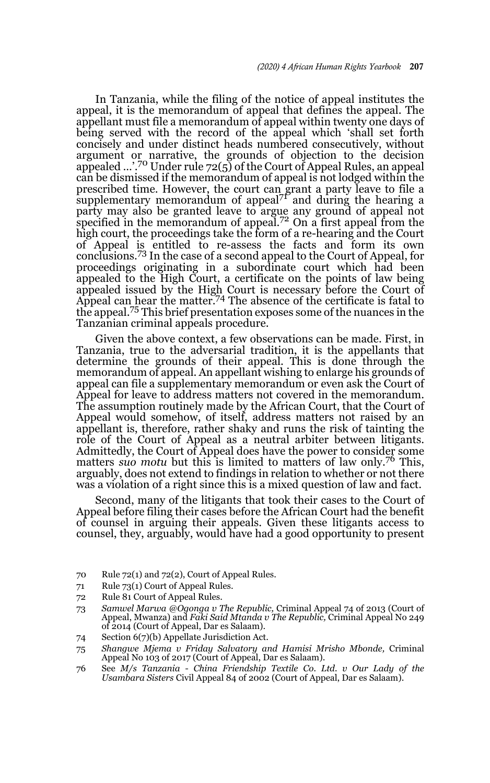In Tanzania, while the filing of the notice of appeal institutes the appeal, it is the memorandum of appeal that defines the appeal. The appellant must file a memorandum of appeal within twenty one days of being served with the record of the appeal which 'shall set forth concisely and under distinct heads numbered consecutively, without argument or narrative, the grounds of objection to the decision appealed …'.70 Under rule 72(5) of the Court of Appeal Rules, an appeal can be dismissed if the memorandum of appeal is not lodged within the prescribed time. However, the court can grant a party leave to file a supplementary memorandum of appeal<sup>71</sup> and during the hearing a party may also be granted leave to argue any ground of appeal not specified in the memorandum of appeal.<sup>72</sup> On a first appeal from the high court, the proceedings take the form of a re-hearing and the Court of Appeal is entitled to re-assess the facts and form its own conclusions.73 In the case of a second appeal to the Court of Appeal, for proceedings originating in a subordinate court which had been appealed to the High Court, a certificate on the points of law being appealed issued by the High Court is necessary before the Court of Appeal can hear the matter.<sup>74</sup> The absence of the certificate is fatal to the appeal.75 This brief presentation exposes some of the nuances in the Tanzanian criminal appeals procedure.

Given the above context, a few observations can be made. First, in Tanzania, true to the adversarial tradition, it is the appellants that determine the grounds of their appeal. This is done through the memorandum of appeal. An appellant wishing to enlarge his grounds of appeal can file a supplementary memorandum or even ask the Court of Appeal for leave to address matters not covered in the memorandum. The assumption routinely made by the African Court, that the Court of Appeal would somehow, of itself, address matters not raised by an appellant is, therefore, rather shaky and runs the risk of tainting the role of the Court of Appeal as a neutral arbiter between litigants. Admittedly, the Court of Appeal does have the power to consider some matters *suo motu* but this is limited to matters of law only.76 This, arguably, does not extend to findings in relation to whether or not there was a violation of a right since this is a mixed question of law and fact.

Second, many of the litigants that took their cases to the Court of Appeal before filing their cases before the African Court had the benefit of counsel in arguing their appeals. Given these litigants access to counsel, they, arguably, would have had a good opportunity to present

- 70 Rule 72(1) and 72(2), Court of Appeal Rules.
- 71 Rule 73(1) Court of Appeal Rules.
- 72 Rule 81 Court of Appeal Rules.
- 73 *Samwel Marwa @Ogonga v The Republic,* Criminal Appeal 74 of 2013 (Court of Appeal, Mwanza) and *Faki Said Mtanda v The Republic,* Criminal Appeal No 249 of 2014 (Court of Appeal, Dar es Salaam).
- 74 Section 6(7)(b) Appellate Jurisdiction Act.

76 See *M/s Tanzania - China Friendship Textile Co. Ltd. v Our Lady of the Usambara Sisters* Civil Appeal 84 of 2002 (Court of Appeal, Dar es Salaam).

<sup>75</sup> *Shangwe Mjema v Friday Salvatory and Hamisi Mrisho Mbonde,* Criminal Appeal No 103 of 2017 (Court of Appeal, Dar es Salaam).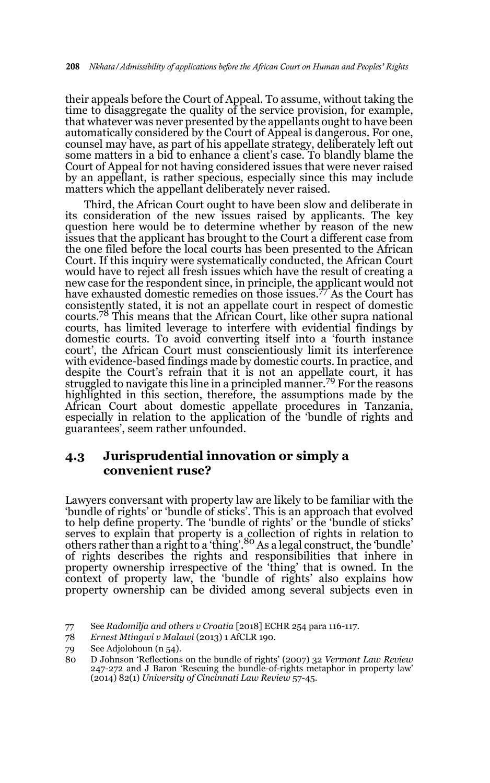their appeals before the Court of Appeal. To assume, without taking the time to disaggregate the quality of the service provision, for example, that whatever was never presented by the appellants ought to have been automatically considered by the Court of Appeal is dangerous. For one, counsel may have, as part of his appellate strategy, deliberately left out some matters in a bid to enhance a client's case. To blandly blame the Court of Appeal for not having considered issues that were never raised by an appellant, is rather specious, especially since this may include matters which the appellant deliberately never raised.

Third, the African Court ought to have been slow and deliberate in its consideration of the new issues raised by applicants. The key question here would be to determine whether by reason of the new issues that the applicant has brought to the Court a different case from the one filed before the local courts has been presented to the African Court. If this inquiry were systematically conducted, the African Court would have to reject all fresh issues which have the result of creating a new case for the respondent since, in principle, the applicant would not have exhausted domestic remedies on those issues.77 As the Court has consistently stated, it is not an appellate court in respect of domestic courts.78 This means that the African Court, like other supra national courts, has limited leverage to interfere with evidential findings by domestic courts. To avoid converting itself into a 'fourth instance court', the African Court must conscientiously limit its interference with evidence-based findings made by domestic courts. In practice, and despite the Court's refrain that it is not an appellate court, it has struggled to navigate this line in a principled manner.<sup>79</sup> For the reasons highlighted in this section, therefore, the assumptions made by the African Court about domestic appellate procedures in Tanzania, especially in relation to the application of the 'bundle of rights and guarantees', seem rather unfounded.

### **4.3 Jurisprudential innovation or simply a convenient ruse?**

Lawyers conversant with property law are likely to be familiar with the 'bundle of rights' or 'bundle of sticks'. This is an approach that evolved to help define property. The 'bundle of rights' or the 'bundle of sticks' serves to explain that property is a collection of rights in relation to others rather than a right to a 'thing'.<sup>80</sup> As a legal construct, the 'bundle' of rights describes the rights and responsibilities that inhere in property ownership irrespective of the 'thing' that is owned. In the context of property law, the 'bundle of rights' also explains how property ownership can be divided among several subjects even in

<sup>77</sup> See *Radomilja and others v Croatia* [2018] ECHR 254 para 116-117.

<sup>78</sup> *Ernest Mtingwi v Malawi* (2013) 1 AfCLR 190.

<sup>79</sup> See Adjolohoun (n 54).

<sup>80</sup> D Johnson 'Reflections on the bundle of rights' (2007) 32 *Vermont Law Review* 247-272 and J Baron 'Rescuing the bundle-of-rights metaphor in property law' (2014) 82(1) *University of Cincinnati Law Review* 57-45.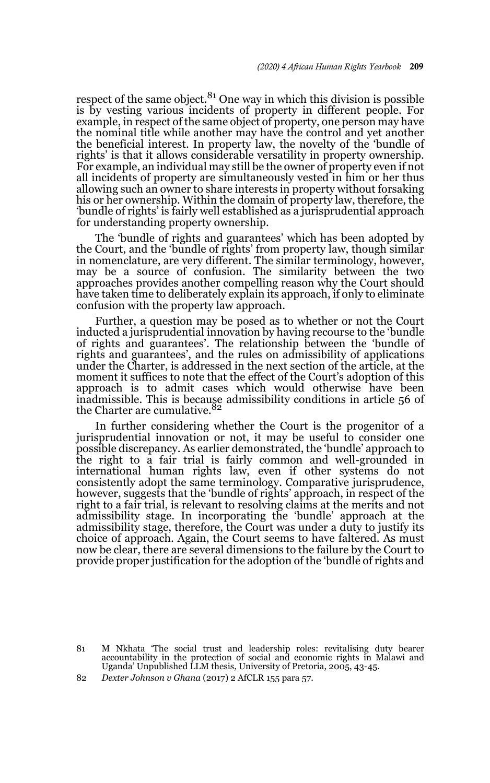respect of the same object. $81$  One way in which this division is possible is by vesting various incidents of property in different people. For example, in respect of the same object of property, one person may have the nominal title while another may have the control and yet another the beneficial interest. In property law, the novelty of the 'bundle of rights' is that it allows considerable versatility in property ownership. For example, an individual may still be the owner of property even if not all incidents of property are simultaneously vested in him or her thus allowing such an owner to share interests in property without forsaking his or her ownership. Within the domain of property law, therefore, the 'bundle of rights' is fairly well established as a jurisprudential approach for understanding property ownership.

The 'bundle of rights and guarantees' which has been adopted by the Court, and the 'bundle of rights' from property law, though similar in nomenclature, are very different. The similar terminology, however, may be a source of confusion. The similarity between the two approaches provides another compelling reason why the Court should have taken time to deliberately explain its approach, if only to eliminate confusion with the property law approach.

Further, a question may be posed as to whether or not the Court inducted a jurisprudential innovation by having recourse to the 'bundle of rights and guarantees'. The relationship between the 'bundle of rights and guarantees', and the rules on admissibility of applications under the Charter, is addressed in the next section of the article, at the moment it suffices to note that the effect of the Court's adoption of this approach is to admit cases which would otherwise have been inadmissible. This is because admissibility conditions in article 56 of the Charter are cumulative.<sup>82</sup>

In further considering whether the Court is the progenitor of a jurisprudential innovation or not, it may be useful to consider one possible discrepancy. As earlier demonstrated, the 'bundle' approach to the right to a fair trial is fairly common and well-grounded in international human rights law, even if other systems do not consistently adopt the same terminology. Comparative jurisprudence, however, suggests that the 'bundle of rights' approach, in respect of the right to a fair trial, is relevant to resolving claims at the merits and not admissibility stage. In incorporating the 'bundle' approach at the admissibility stage, therefore, the Court was under a duty to justify its choice of approach. Again, the Court seems to have faltered. As must now be clear, there are several dimensions to the failure by the Court to provide proper justification for the adoption of the 'bundle of rights and

81 M Nkhata 'The social trust and leadership roles: revitalising duty bearer accountability in the protection of social and economic rights in Malawi and Uganda' Unpublished LLM thesis, University of Pretoria, 2005, 43-45.

<sup>82</sup> *Dexter Johnson v Ghana* (2017) 2 AfCLR 155 para 57.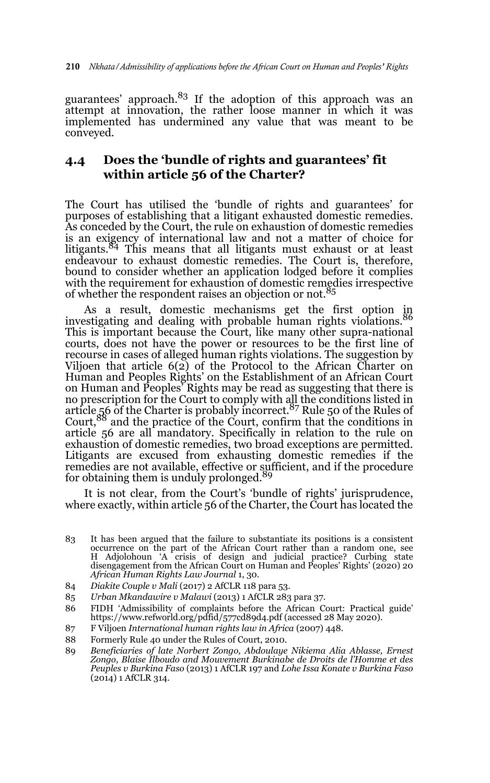guarantees' approach.<sup>83</sup> If the adoption of this approach was an attempt at innovation, the rather loose manner in which it was implemented has undermined any value that was meant to be conveyed.

### **4.4 Does the 'bundle of rights and guarantees' fit within article 56 of the Charter?**

The Court has utilised the 'bundle of rights and guarantees' for purposes of establishing that a litigant exhausted domestic remedies. As conceded by the Court, the rule on exhaustion of domestic remedies is an exigency of international law and not a matter of choice for litigants.84 This means that all litigants must exhaust or at least endeavour to exhaust domestic remedies. The Court is, therefore, bound to consider whether an application lodged before it complies with the requirement for exhaustion of domestic remedies irrespective of whether the respondent raises an objection or not.<sup>85</sup>

As a result, domestic mechanisms get the first option in investigating and dealing with probable human rights violations. This is important because the Court, like many other supra-national courts, does not have the power or resources to be the first line of recourse in cases of alleged human rights violations. The suggestion by Viljoen that article 6(2) of the Protocol to the African Charter on Human and Peoples Rights' on the Establishment of an African Court on Human and Peoples' Rights may be read as suggesting that there is no prescription for the Court to comply with all the conditions listed in article 56 of the Charter is probably incorrect.87 Rule 50 of the Rules of Court,<sup>88</sup> and the practice of the Court, confirm that the conditions in article 56 are all mandatory. Specifically in relation to the rule on exhaustion of domestic remedies, two broad exceptions are permitted. Litigants are excused from exhausting domestic remedies if the remedies are not available, effective or sufficient, and if the procedure for obtaining them is unduly prolonged.<sup>89</sup>

It is not clear, from the Court's 'bundle of rights' jurisprudence, where exactly, within article 56 of the Charter, the Court has located the

- 83 It has been argued that the failure to substantiate its positions is a consistent occurrence on the part of the African Court rather than a random one, see H Adjolohoun 'A crisis of design and judicial practice? Curbing state disengagement from the African Court on Human and Peoples' Rights' (2020) 20 *African Human Rights Law Journal* 1, 30.
- 84 *Diakite Couple v Mali* (2017) 2 AfCLR 118 para 53.
- 85 *Urban Mkandawire v Malawi* (2013) 1 AfCLR 283 para 37.
- 86 FIDH 'Admissibility of complaints before the African Court: Practical guide' https://www.refworld.org/pdfid/577cd89d4.pdf (accessed 28 May 2020).
- 87 F Viljoen *International human rights law in Africa* (2007) 448.
- 88 Formerly Rule 40 under the Rules of Court, 2010.
- 89 *Beneficiaries of late Norbert Zongo, Abdoulaye Nikiema Alia Ablasse, Ernest Zongo, Blaise Ilboudo and Mouvement Burkinabe de Droits de l'Homme et des Peuples v Burkina Faso* (2013) 1 AfCLR 197 and *Lohe Issa Konate v Burkina Faso* (2014) 1 AfCLR 314.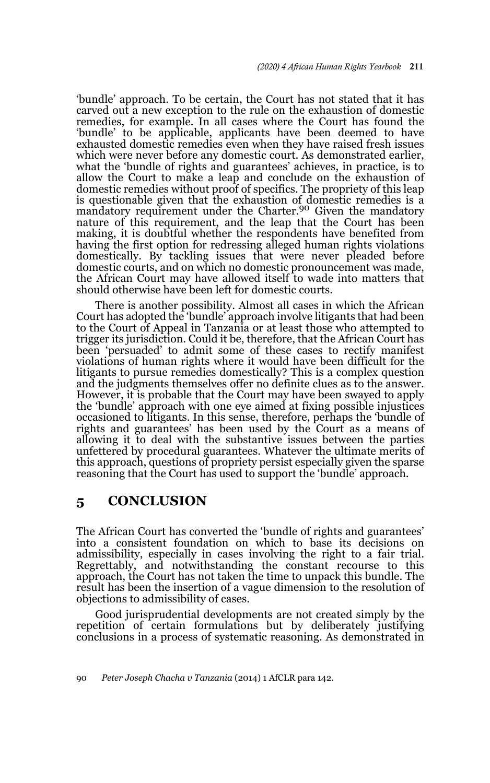'bundle' approach. To be certain, the Court has not stated that it has carved out a new exception to the rule on the exhaustion of domestic remedies, for example. In all cases where the Court has found the 'bundle' to be applicable, applicants have been deemed to have exhausted domestic remedies even when they have raised fresh issues which were never before any domestic court. As demonstrated earlier, what the 'bundle of rights and guarantees' achieves, in practice, is to allow the Court to make a leap and conclude on the exhaustion of domestic remedies without proof of specifics. The propriety of this leap is questionable given that the exhaustion of domestic remedies is a mandatory requirement under the Charter.<sup>90</sup> Given the mandatory nature of this requirement, and the leap that the Court has been making, it is doubtful whether the respondents have benefited from having the first option for redressing alleged human rights violations domestically. By tackling issues that were never pleaded before domestic courts, and on which no domestic pronouncement was made, the African Court may have allowed itself to wade into matters that should otherwise have been left for domestic courts.

There is another possibility. Almost all cases in which the African Court has adopted the 'bundle' approach involve litigants that had been to the Court of Appeal in Tanzania or at least those who attempted to trigger its jurisdiction. Could it be, therefore, that the African Court has been 'persuaded' to admit some of these cases to rectify manifest violations of human rights where it would have been difficult for the litigants to pursue remedies domestically? This is a complex question and the judgments themselves offer no definite clues as to the answer. However, it is probable that the Court may have been swayed to apply the 'bundle' approach with one eye aimed at fixing possible injustices occasioned to litigants. In this sense, therefore, perhaps the 'bundle of rights and guarantees' has been used by the Court as a means of allowing it to deal with the substantive issues between the parties unfettered by procedural guarantees. Whatever the ultimate merits of this approach, questions of propriety persist especially given the sparse reasoning that the Court has used to support the 'bundle' approach.

### **5 CONCLUSION**

The African Court has converted the 'bundle of rights and guarantees' into a consistent foundation on which to base its decisions on admissibility, especially in cases involving the right to a fair trial. Regrettably, and notwithstanding the constant recourse to this approach, the Court has not taken the time to unpack this bundle. The result has been the insertion of a vague dimension to the resolution of objections to admissibility of cases.

Good jurisprudential developments are not created simply by the repetition of certain formulations but by deliberately justifying conclusions in a process of systematic reasoning. As demonstrated in